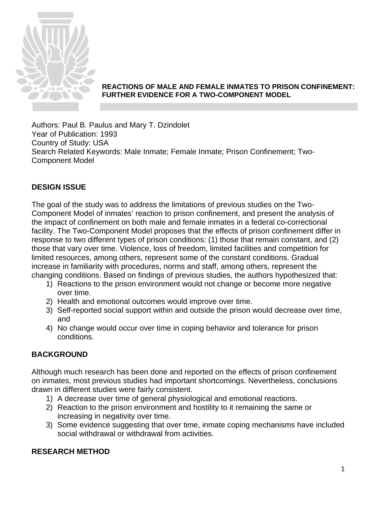

### **REACTIONS OF MALE AND FEMALE INMATES TO PRISON CONFINEMENT: FURTHER EVIDENCE FOR A TWO-COMPONENT MODEL**

Authors: Paul B. Paulus and Mary T. Dzindolet Year of Publication: 1993 Country of Study: USA Search Related Keywords: Male Inmate; Female Inmate; Prison Confinement; Two-Component Model

# **DESIGN ISSUE**

The goal of the study was to address the limitations of previous studies on the Two-Component Model of inmates' reaction to prison confinement, and present the analysis of the impact of confinement on both male and female inmates in a federal co-correctional facility. The Two-Component Model proposes that the effects of prison confinement differ in response to two different types of prison conditions: (1) those that remain constant, and (2) those that vary over time. Violence, loss of freedom, limited facilities and competition for limited resources, among others, represent some of the constant conditions. Gradual increase in familiarity with procedures, norms and staff, among others, represent the changing conditions. Based on findings of previous studies, the authors hypothesized that:

- 1) Reactions to the prison environment would not change or become more negative over time.
- 2) Health and emotional outcomes would improve over time.
- 3) Self-reported social support within and outside the prison would decrease over time, and
- 4) No change would occur over time in coping behavior and tolerance for prison conditions.

## **BACKGROUND**

Although much research has been done and reported on the effects of prison confinement on inmates, most previous studies had important shortcomings. Nevertheless, conclusions drawn in different studies were fairly consistent.

- 1) A decrease over time of general physiological and emotional reactions.
- 2) Reaction to the prison environment and hostility to it remaining the same or increasing in negativity over time.
- 3) Some evidence suggesting that over time, inmate coping mechanisms have included social withdrawal or withdrawal from activities.

## **RESEARCH METHOD**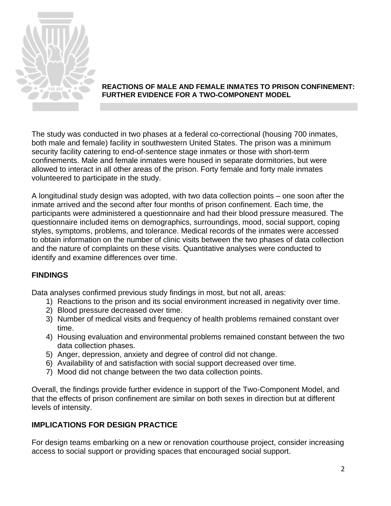

### **REACTIONS OF MALE AND FEMALE INMATES TO PRISON CONFINEMENT: FURTHER EVIDENCE FOR A TWO-COMPONENT MODEL**

The study was conducted in two phases at a federal co-correctional (housing 700 inmates, both male and female) facility in southwestern United States. The prison was a minimum security facility catering to end-of-sentence stage inmates or those with short-term confinements. Male and female inmates were housed in separate dormitories, but were allowed to interact in all other areas of the prison. Forty female and forty male inmates volunteered to participate in the study.

A longitudinal study design was adopted, with two data collection points – one soon after the inmate arrived and the second after four months of prison confinement. Each time, the participants were administered a questionnaire and had their blood pressure measured. The questionnaire included items on demographics, surroundings, mood, social support, coping styles, symptoms, problems, and tolerance. Medical records of the inmates were accessed to obtain information on the number of clinic visits between the two phases of data collection and the nature of complaints on these visits. Quantitative analyses were conducted to identify and examine differences over time.

## **FINDINGS**

Data analyses confirmed previous study findings in most, but not all, areas:

- 1) Reactions to the prison and its social environment increased in negativity over time.
- 2) Blood pressure decreased over time.
- 3) Number of medical visits and frequency of health problems remained constant over time.
- 4) Housing evaluation and environmental problems remained constant between the two data collection phases.
- 5) Anger, depression, anxiety and degree of control did not change.
- 6) Availability of and satisfaction with social support decreased over time.
- 7) Mood did not change between the two data collection points.

Overall, the findings provide further evidence in support of the Two-Component Model, and that the effects of prison confinement are similar on both sexes in direction but at different levels of intensity.

## **IMPLICATIONS FOR DESIGN PRACTICE**

For design teams embarking on a new or renovation courthouse project, consider increasing access to social support or providing spaces that encouraged social support.